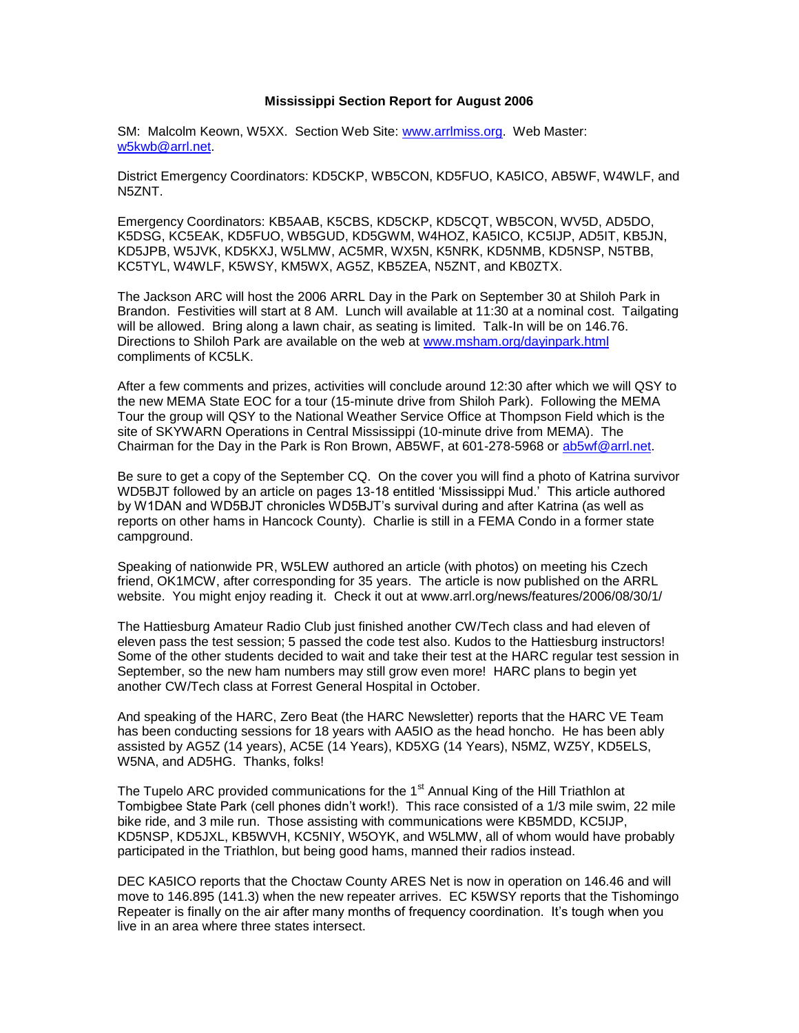## **Mississippi Section Report for August 2006**

SM: Malcolm Keown, W5XX. Section Web Site: [www.arrlmiss.org.](http://www.arrlmiss.org/) Web Master: [w5kwb@arrl.net.](mailto:w5kwb@arrl.net)

District Emergency Coordinators: KD5CKP, WB5CON, KD5FUO, KA5ICO, AB5WF, W4WLF, and N5ZNT.

Emergency Coordinators: KB5AAB, K5CBS, KD5CKP, KD5CQT, WB5CON, WV5D, AD5DO, K5DSG, KC5EAK, KD5FUO, WB5GUD, KD5GWM, W4HOZ, KA5ICO, KC5IJP, AD5IT, KB5JN, KD5JPB, W5JVK, KD5KXJ, W5LMW, AC5MR, WX5N, K5NRK, KD5NMB, KD5NSP, N5TBB, KC5TYL, W4WLF, K5WSY, KM5WX, AG5Z, KB5ZEA, N5ZNT, and KB0ZTX.

The Jackson ARC will host the 2006 ARRL Day in the Park on September 30 at Shiloh Park in Brandon. Festivities will start at 8 AM. Lunch will available at 11:30 at a nominal cost. Tailgating will be allowed. Bring along a lawn chair, as seating is limited. Talk-In will be on 146.76. Directions to Shiloh Park are available on the web at [www.msham.org/dayinpark.html](http://www.msham.org/dayinpark.html) compliments of KC5LK.

After a few comments and prizes, activities will conclude around 12:30 after which we will QSY to the new MEMA State EOC for a tour (15-minute drive from Shiloh Park). Following the MEMA Tour the group will QSY to the National Weather Service Office at Thompson Field which is the site of SKYWARN Operations in Central Mississippi (10-minute drive from MEMA). The Chairman for the Day in the Park is Ron Brown, AB5WF, at 601-278-5968 or [ab5wf@arrl.net.](mailto:ab5wf@arrl.net)

Be sure to get a copy of the September CQ. On the cover you will find a photo of Katrina survivor WD5BJT followed by an article on pages 13-18 entitled 'Mississippi Mud.' This article authored by W1DAN and WD5BJT chronicles WD5BJT's survival during and after Katrina (as well as reports on other hams in Hancock County). Charlie is still in a FEMA Condo in a former state campground.

Speaking of nationwide PR, W5LEW authored an article (with photos) on meeting his Czech friend, OK1MCW, after corresponding for 35 years. The article is now published on the ARRL website. You might enjoy reading it. Check it out at www.arrl.org/news/features/2006/08/30/1/

The Hattiesburg Amateur Radio Club just finished another CW/Tech class and had eleven of eleven pass the test session; 5 passed the code test also. Kudos to the Hattiesburg instructors! Some of the other students decided to wait and take their test at the HARC regular test session in September, so the new ham numbers may still grow even more! HARC plans to begin yet another CW/Tech class at Forrest General Hospital in October.

And speaking of the HARC, Zero Beat (the HARC Newsletter) reports that the HARC VE Team has been conducting sessions for 18 years with AA5IO as the head honcho. He has been ably assisted by AG5Z (14 years), AC5E (14 Years), KD5XG (14 Years), N5MZ, WZ5Y, KD5ELS, W5NA, and AD5HG. Thanks, folks!

The Tupelo ARC provided communications for the 1<sup>st</sup> Annual King of the Hill Triathlon at Tombigbee State Park (cell phones didn't work!). This race consisted of a 1/3 mile swim, 22 mile bike ride, and 3 mile run. Those assisting with communications were KB5MDD, KC5IJP, KD5NSP, KD5JXL, KB5WVH, KC5NIY, W5OYK, and W5LMW, all of whom would have probably participated in the Triathlon, but being good hams, manned their radios instead.

DEC KA5ICO reports that the Choctaw County ARES Net is now in operation on 146.46 and will move to 146.895 (141.3) when the new repeater arrives. EC K5WSY reports that the Tishomingo Repeater is finally on the air after many months of frequency coordination. It's tough when you live in an area where three states intersect.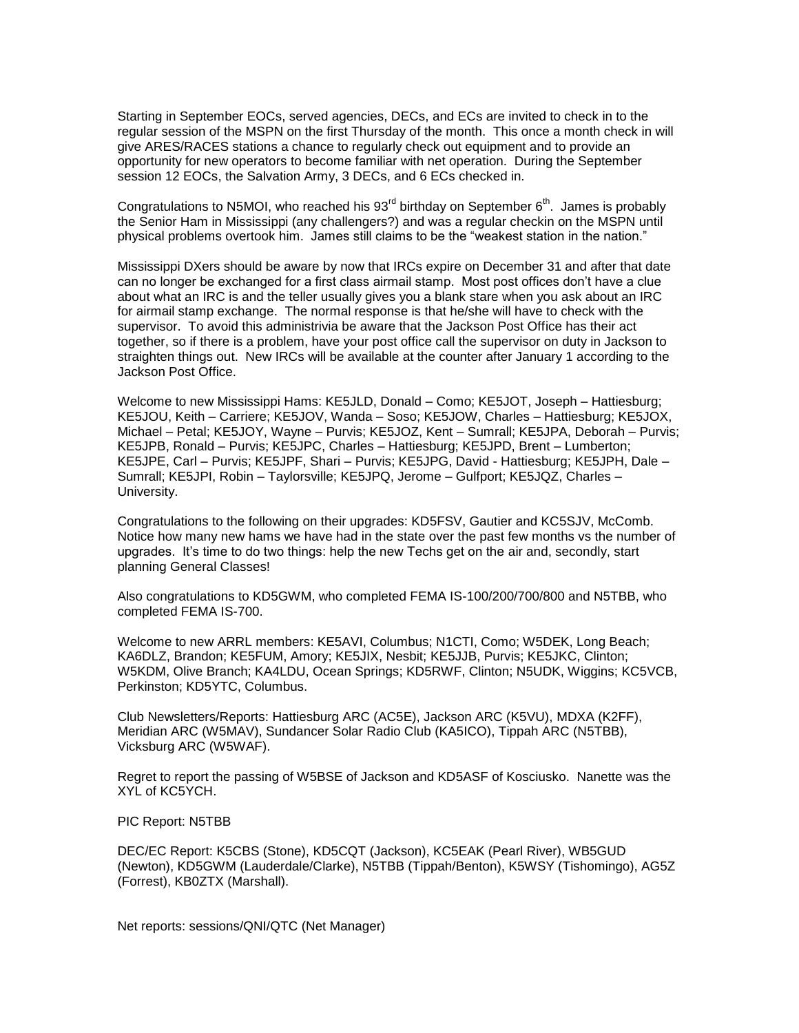Starting in September EOCs, served agencies, DECs, and ECs are invited to check in to the regular session of the MSPN on the first Thursday of the month. This once a month check in will give ARES/RACES stations a chance to regularly check out equipment and to provide an opportunity for new operators to become familiar with net operation. During the September session 12 EOCs, the Salvation Army, 3 DECs, and 6 ECs checked in.

Congratulations to N5MOI, who reached his  $93<sup>rd</sup>$  birthday on September  $6<sup>th</sup>$ . James is probably the Senior Ham in Mississippi (any challengers?) and was a regular checkin on the MSPN until physical problems overtook him. James still claims to be the "weakest station in the nation."

Mississippi DXers should be aware by now that IRCs expire on December 31 and after that date can no longer be exchanged for a first class airmail stamp. Most post offices don't have a clue about what an IRC is and the teller usually gives you a blank stare when you ask about an IRC for airmail stamp exchange. The normal response is that he/she will have to check with the supervisor. To avoid this administrivia be aware that the Jackson Post Office has their act together, so if there is a problem, have your post office call the supervisor on duty in Jackson to straighten things out. New IRCs will be available at the counter after January 1 according to the Jackson Post Office.

Welcome to new Mississippi Hams: KE5JLD, Donald – Como; KE5JOT, Joseph – Hattiesburg; KE5JOU, Keith – Carriere; KE5JOV, Wanda – Soso; KE5JOW, Charles – Hattiesburg; KE5JOX, Michael – Petal; KE5JOY, Wayne – Purvis; KE5JOZ, Kent – Sumrall; KE5JPA, Deborah – Purvis; KE5JPB, Ronald – Purvis; KE5JPC, Charles – Hattiesburg; KE5JPD, Brent – Lumberton; KE5JPE, Carl – Purvis; KE5JPF, Shari – Purvis; KE5JPG, David - Hattiesburg; KE5JPH, Dale – Sumrall; KE5JPI, Robin – Taylorsville; KE5JPQ, Jerome – Gulfport; KE5JQZ, Charles – University.

Congratulations to the following on their upgrades: KD5FSV, Gautier and KC5SJV, McComb. Notice how many new hams we have had in the state over the past few months vs the number of upgrades. It's time to do two things: help the new Techs get on the air and, secondly, start planning General Classes!

Also congratulations to KD5GWM, who completed FEMA IS-100/200/700/800 and N5TBB, who completed FEMA IS-700.

Welcome to new ARRL members: KE5AVI, Columbus; N1CTI, Como; W5DEK, Long Beach; KA6DLZ, Brandon; KE5FUM, Amory; KE5JIX, Nesbit; KE5JJB, Purvis; KE5JKC, Clinton; W5KDM, Olive Branch; KA4LDU, Ocean Springs; KD5RWF, Clinton; N5UDK, Wiggins; KC5VCB, Perkinston; KD5YTC, Columbus.

Club Newsletters/Reports: Hattiesburg ARC (AC5E), Jackson ARC (K5VU), MDXA (K2FF), Meridian ARC (W5MAV), Sundancer Solar Radio Club (KA5ICO), Tippah ARC (N5TBB), Vicksburg ARC (W5WAF).

Regret to report the passing of W5BSE of Jackson and KD5ASF of Kosciusko. Nanette was the XYL of KC5YCH.

PIC Report: N5TBB

DEC/EC Report: K5CBS (Stone), KD5CQT (Jackson), KC5EAK (Pearl River), WB5GUD (Newton), KD5GWM (Lauderdale/Clarke), N5TBB (Tippah/Benton), K5WSY (Tishomingo), AG5Z (Forrest), KB0ZTX (Marshall).

Net reports: sessions/QNI/QTC (Net Manager)